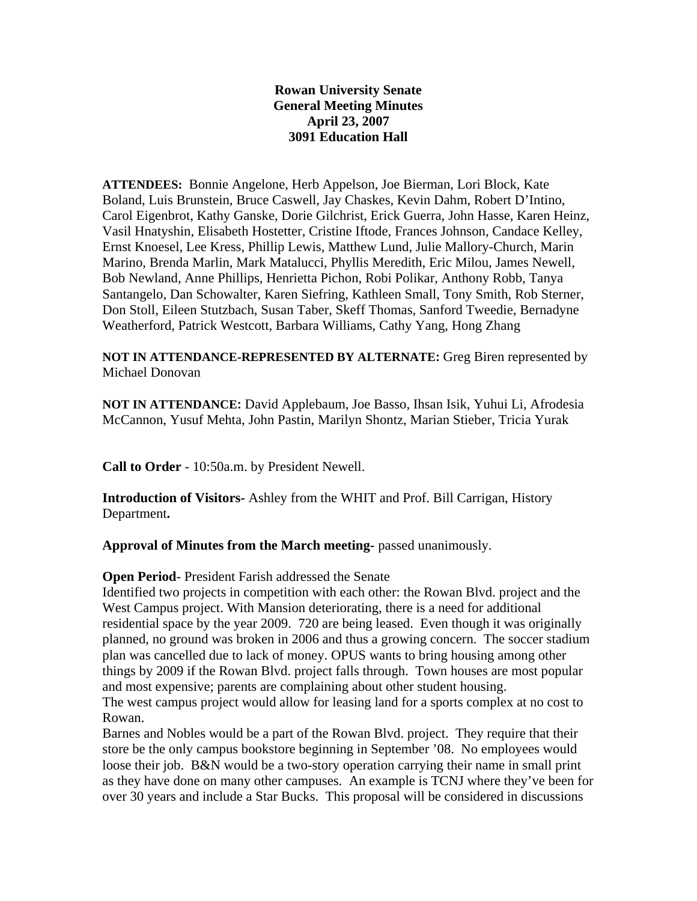## **Rowan University Senate General Meeting Minutes April 23, 2007 3091 Education Hall**

**ATTENDEES:** Bonnie Angelone, Herb Appelson, Joe Bierman, Lori Block, Kate Boland, Luis Brunstein, Bruce Caswell, Jay Chaskes, Kevin Dahm, Robert D'Intino, Carol Eigenbrot, Kathy Ganske, Dorie Gilchrist, Erick Guerra, John Hasse, Karen Heinz, Vasil Hnatyshin, Elisabeth Hostetter, Cristine Iftode, Frances Johnson, Candace Kelley, Ernst Knoesel, Lee Kress, Phillip Lewis, Matthew Lund, Julie Mallory-Church, Marin Marino, Brenda Marlin, Mark Matalucci, Phyllis Meredith, Eric Milou, James Newell, Bob Newland, Anne Phillips, Henrietta Pichon, Robi Polikar, Anthony Robb, Tanya Santangelo, Dan Schowalter, Karen Siefring, Kathleen Small, Tony Smith, Rob Sterner, Don Stoll, Eileen Stutzbach, Susan Taber, Skeff Thomas, Sanford Tweedie, Bernadyne Weatherford, Patrick Westcott, Barbara Williams, Cathy Yang, Hong Zhang

**NOT IN ATTENDANCE-REPRESENTED BY ALTERNATE:** Greg Biren represented by Michael Donovan

**NOT IN ATTENDANCE:** David Applebaum, Joe Basso, Ihsan Isik, Yuhui Li, Afrodesia McCannon, Yusuf Mehta, John Pastin, Marilyn Shontz, Marian Stieber, Tricia Yurak

**Call to Order** - 10:50a.m. by President Newell.

**Introduction of Visitors-** Ashley from the WHIT and Prof. Bill Carrigan, History Department**.** 

**Approval of Minutes from the March meeting-** passed unanimously.

### **Open Period**- President Farish addressed the Senate

Identified two projects in competition with each other: the Rowan Blvd. project and the West Campus project. With Mansion deteriorating, there is a need for additional residential space by the year 2009. 720 are being leased. Even though it was originally planned, no ground was broken in 2006 and thus a growing concern. The soccer stadium plan was cancelled due to lack of money. OPUS wants to bring housing among other things by 2009 if the Rowan Blvd. project falls through. Town houses are most popular and most expensive; parents are complaining about other student housing.

The west campus project would allow for leasing land for a sports complex at no cost to Rowan.

Barnes and Nobles would be a part of the Rowan Blvd. project. They require that their store be the only campus bookstore beginning in September '08. No employees would loose their job. B&N would be a two-story operation carrying their name in small print as they have done on many other campuses. An example is TCNJ where they've been for over 30 years and include a Star Bucks. This proposal will be considered in discussions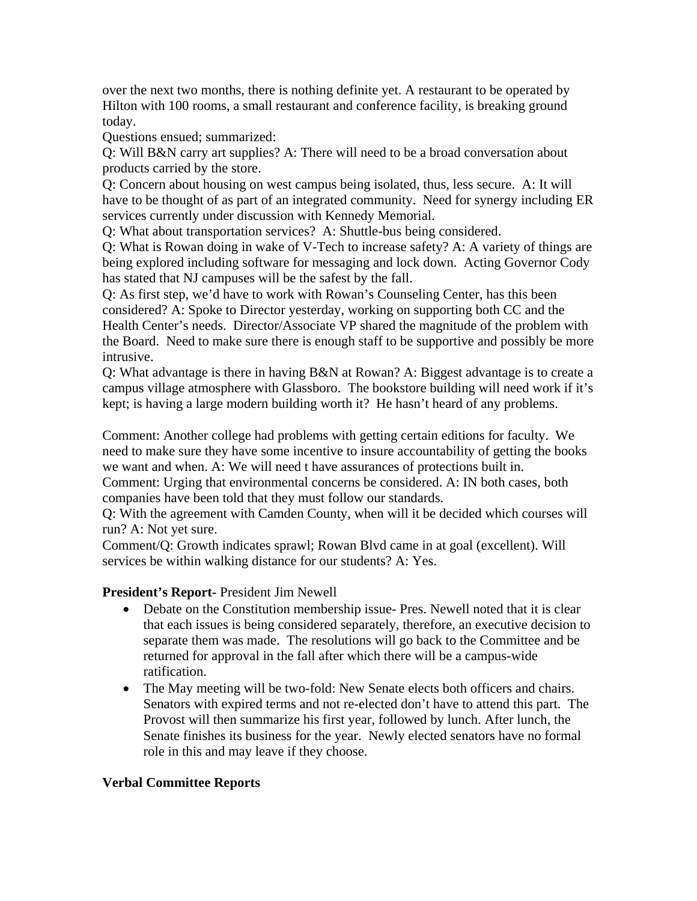over the next two months, there is nothing definite yet. A restaurant to be operated by Hilton with 100 rooms, a small restaurant and conference facility, is breaking ground today.

Questions ensued; summarized:

Q: Will B&N carry art supplies? A: There will need to be a broad conversation about products carried by the store.

Q: Concern about housing on west campus being isolated, thus, less secure. A: It will have to be thought of as part of an integrated community. Need for synergy including ER services currently under discussion with Kennedy Memorial.

Q: What about transportation services? A: Shuttle-bus being considered.

Q: What is Rowan doing in wake of V-Tech to increase safety? A: A variety of things are being explored including software for messaging and lock down. Acting Governor Cody has stated that NJ campuses will be the safest by the fall.

Q: As first step, we'd have to work with Rowan's Counseling Center, has this been considered? A: Spoke to Director yesterday, working on supporting both CC and the Health Center's needs. Director/Associate VP shared the magnitude of the problem with the Board. Need to make sure there is enough staff to be supportive and possibly be more intrusive.

Q: What advantage is there in having B&N at Rowan? A: Biggest advantage is to create a campus village atmosphere with Glassboro. The bookstore building will need work if it's kept; is having a large modern building worth it? He hasn't heard of any problems.

Comment: Another college had problems with getting certain editions for faculty. We need to make sure they have some incentive to insure accountability of getting the books we want and when. A: We will need t have assurances of protections built in.

Comment: Urging that environmental concerns be considered. A: IN both cases, both companies have been told that they must follow our standards.

Q: With the agreement with Camden County, when will it be decided which courses will run? A: Not yet sure.

Comment/Q: Growth indicates sprawl; Rowan Blvd came in at goal (excellent). Will services be within walking distance for our students? A: Yes.

# **President's Report-** President Jim Newell

- Debate on the Constitution membership issue- Pres. Newell noted that it is clear that each issues is being considered separately, therefore, an executive decision to separate them was made. The resolutions will go back to the Committee and be returned for approval in the fall after which there will be a campus-wide ratification.
- The May meeting will be two-fold: New Senate elects both officers and chairs. Senators with expired terms and not re-elected don't have to attend this part. The Provost will then summarize his first year, followed by lunch. After lunch, the Senate finishes its business for the year. Newly elected senators have no formal role in this and may leave if they choose.

# **Verbal Committee Reports**